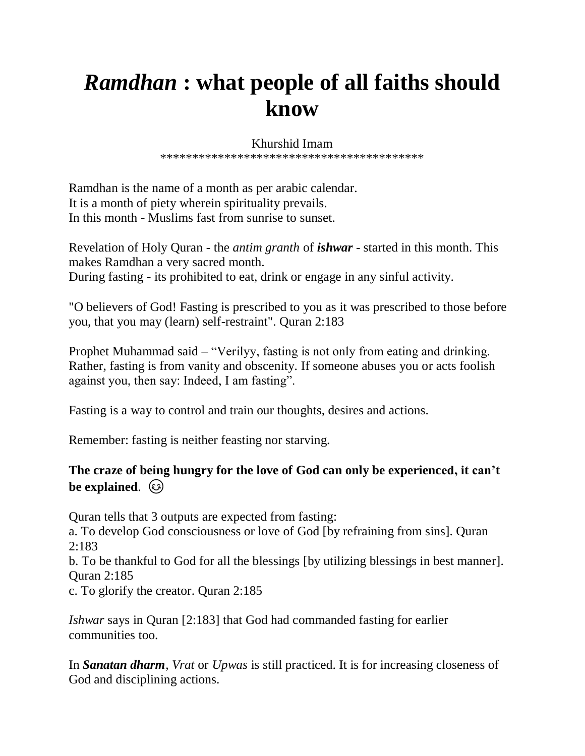## *Ramdhan* **: what people of all faiths should know**

## Khurshid Imam

\*\*\*\*\*\*\*\*\*\*\*\*\*\*\*\*\*\*\*\*\*\*\*\*\*\*\*\*\*\*\*\*\*\*\*\*\*\*\*\*\*

Ramdhan is the name of a month as per arabic calendar. It is a month of piety wherein spirituality prevails. In this month - Muslims fast from sunrise to sunset.

Revelation of Holy Quran - the *antim granth* of *ishwar* - started in this month. This makes Ramdhan a very sacred month. During fasting - its prohibited to eat, drink or engage in any sinful activity.

"O believers of God! Fasting is prescribed to you as it was prescribed to those before you, that you may (learn) self-restraint". Quran 2:183

Prophet Muhammad said – "Verilyy, fasting is not only from eating and drinking. Rather, fasting is from vanity and obscenity. If someone abuses you or acts foolish against you, then say: Indeed, I am fasting".

Fasting is a way to control and train our thoughts, desires and actions.

Remember: fasting is neither feasting nor starving.

## **The craze of being hungry for the love of God can only be experienced, it can't**  be explained.  $\circled{c}$

Quran tells that 3 outputs are expected from fasting: a. To develop God consciousness or love of God [by refraining from sins]. Quran 2:183

b. To be thankful to God for all the blessings [by utilizing blessings in best manner]. Quran 2:185

c. To glorify the creator. Quran 2:185

*Ishwar* says in Quran [2:183] that God had commanded fasting for earlier communities too.

In *Sanatan dharm*, *Vrat* or *Upwas* is still practiced. It is for increasing closeness of God and disciplining actions.